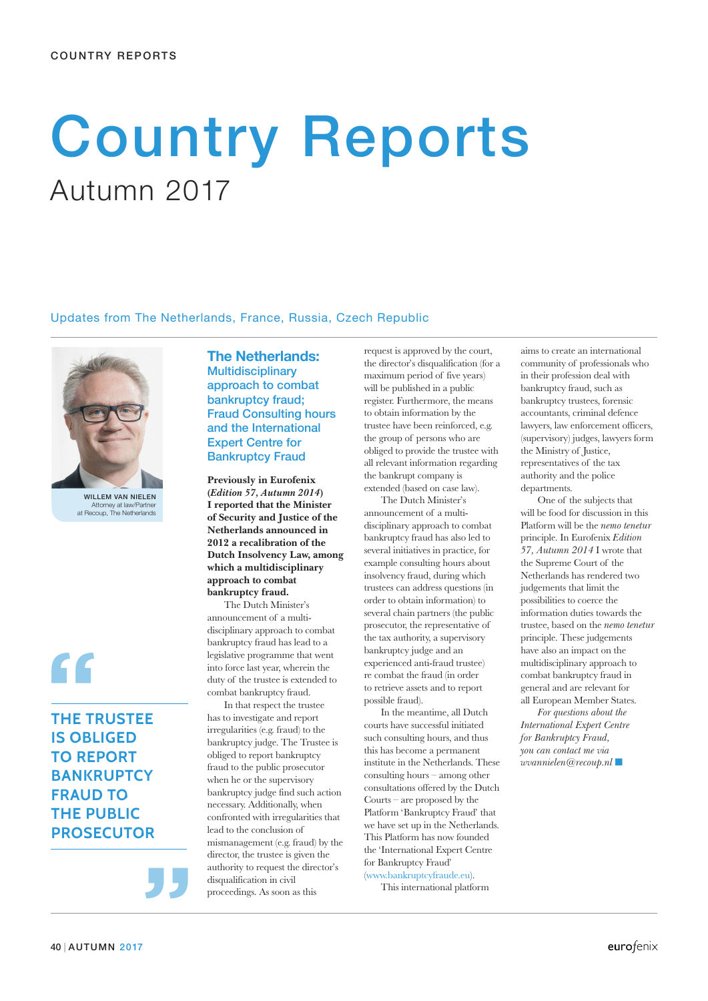# **Country Reports** Autumn 2017

### Updates from The Netherlands, France, Russia, Czech Republic



WILLEM VAN NIELEN Attorney at law/Partner at Recoup, The Netherlands

**THE TRUSTEE IS OBLIGED TO REPORT BANKRUPTCY FRAUD TO THE PUBLIC PROSECUTOR**

**"**

**The Netherlands: Multidisciplinary** approach to combat bankruptcy fraud; Fraud Consulting hours and the International Expert Centre for Bankruptcy Fraud

**Previously in Eurofenix (***Edition 57, Autumn 2014***) I reported that the Minister of Security and Justice of the Netherlands announced in 2012 a recalibration of the Dutch Insolvency Law, among which a multidisciplinary approach to combat bankruptcy fraud.**

The Dutch Minister's announcement of a multidisciplinary approach to combat bankruptcy fraud has lead to a legislative programme that went into force last year, wherein the duty of the trustee is extended to combat bankruptcy fraud.

In that respect the trustee has to investigate and report irregularities (e.g. fraud) to the bankruptcy judge. The Trustee is obliged to report bankruptcy fraud to the public prosecutor when he or the supervisory bankruptcy judge find such action necessary. Additionally, when confronted with irregularities that lead to the conclusion of mismanagement (e.g. fraud) by the director, the trustee is given the authority to request the director's disqualification in civil proceedings. As soon as this

request is approved by the court, the director's disqualification (for a maximum period of five years) will be published in a public register. Furthermore, the means to obtain information by the trustee have been reinforced, e.g. the group of persons who are obliged to provide the trustee with all relevant information regarding the bankrupt company is extended (based on case law).

The Dutch Minister's announcement of a multi-

disciplinary approach to combat bankruptcy fraud has also led to several initiatives in practice, for example consulting hours about insolvency fraud, during which trustees can address questions (in order to obtain information) to several chain partners (the public prosecutor, the representative of the tax authority, a supervisory bankruptcy judge and an experienced anti-fraud trustee) re combat the fraud (in order to retrieve assets and to report possible fraud).

In the meantime, all Dutch courts have successful initiated such consulting hours, and thus this has become a permanent institute in the Netherlands. These consulting hours – among other consultations offered by the Dutch Courts – are proposed by the Platform 'Bankruptcy Fraud' that we have set up in the Netherlands. This Platform has now founded the 'International Expert Centre for Bankruptcy Fraud' (www.bankruptcyfraude.eu).

This international platform

aims to create an international community of professionals who in their profession deal with bankruptcy fraud, such as bankruptcy trustees, forensic accountants, criminal defence lawyers, law enforcement officers, (supervisory) judges, lawyers form the Ministry of Justice, representatives of the tax authority and the police departments.

One of the subjects that will be food for discussion in this Platform will be the *nemo tenetur* principle. In Eurofenix *Edition 57, Autumn 2014* I wrote that the Supreme Court of the Netherlands has rendered two judgements that limit the possibilities to coerce the information duties towards the trustee, based on the *nemo tenetur* principle. These judgements have also an impact on the multidisciplinary approach to combat bankruptcy fraud in general and are relevant for all European Member States.

*For questions about the International Expert Centre for Bankruptcy Fraud, you can contact me via wvannielen@recoup.nl* ■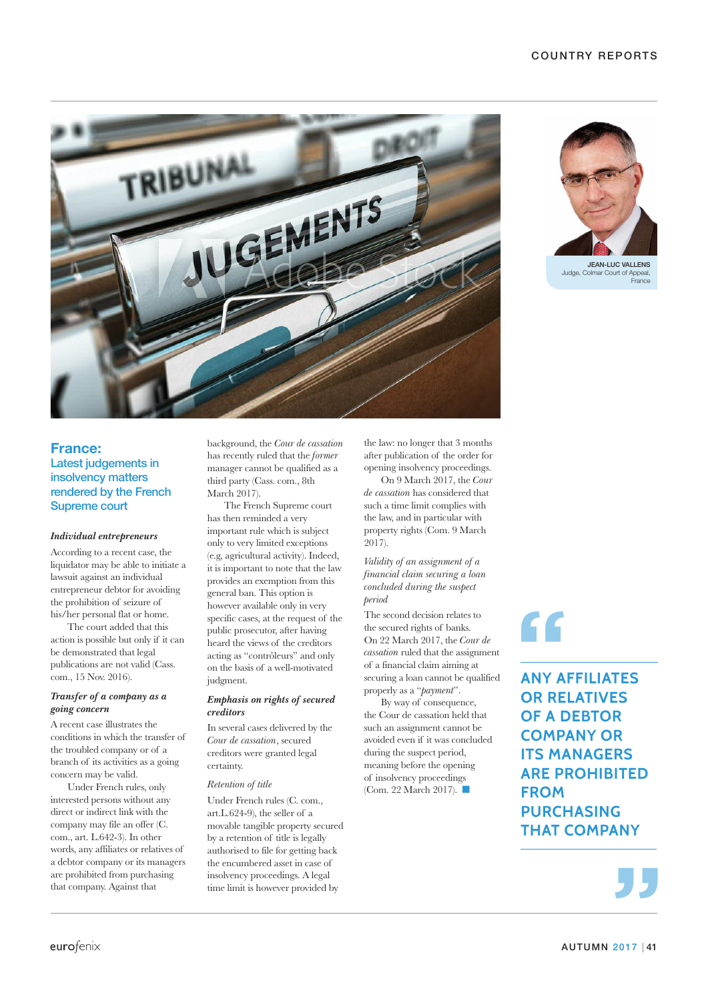



Judge, Colmar Court of Appeal, France

## **France:** Latest judgements in insolvency matters rendered by the French Supreme court

### *Individual entrepreneurs*

According to a recent case, the liquidator may be able to initiate a lawsuit against an individual entrepreneur debtor for avoiding the prohibition of seizure of his/her personal flat or home.

The court added that this action is possible but only if it can be demonstrated that legal publications are not valid (Cass. com., 15 Nov. 2016).

#### *Transfer of a company as a going concern*

A recent case illustrates the conditions in which the transfer of the troubled company or of a branch of its activities as a going concern may be valid.

Under French rules, only interested persons without any direct or indirect link with the company may file an offer (C. com., art. L.642-3). In other words, any affiliates or relatives of a debtor company or its managers are prohibited from purchasing that company. Against that

background, the *Cour de cassation* has recently ruled that the *former* manager cannot be qualified as a third party (Cass. com., 8th March 2017).

The French Supreme court has then reminded a very important rule which is subject only to very limited exceptions (e.g, agricultural activity). Indeed, it is important to note that the law provides an exemption from this general ban. This option is however available only in very specific cases, at the request of the public prosecutor, after having heard the views of the creditors acting as "contrôleurs" and only on the basis of a well-motivated judgment.

#### *Emphasis on rights of secured creditors*

In several cases delivered by the *Cour de cassation*, secured creditors were granted legal certainty.

#### *Retention of title*

Under French rules (C. com., art.L.624-9), the seller of a movable tangible property secured by a retention of title is legally authorised to file for getting back the encumbered asset in case of insolvency proceedings. A legal time limit is however provided by

the law: no longer that 3 months after publication of the order for opening insolvency proceedings.

On 9 March 2017, the *Cour de cassation* has considered that such a time limit complies with the law, and in particular with property rights (Com. 9 March 2017).

*Validity of an assignment of a financial claim securing a loan concluded during the suspect period*

The second decision relates to the secured rights of banks. On 22 March 2017, the *Cour de cassation* ruled that the assignment of a financial claim aiming at securing a loan cannot be qualified properly as a "*payment*".

By way of consequence, the Cour de cassation held that such an assignment cannot be avoided even if it was concluded during the suspect period, meaning before the opening of insolvency proceedings (Com. 22 March 2017). ■

**"**

**ANY AFFILIATES OR RELATIVES OF A DEBTOR COMPANY OR ITS MANAGERS ARE PROHIBITED FROM PURCHASING THAT COMPANY**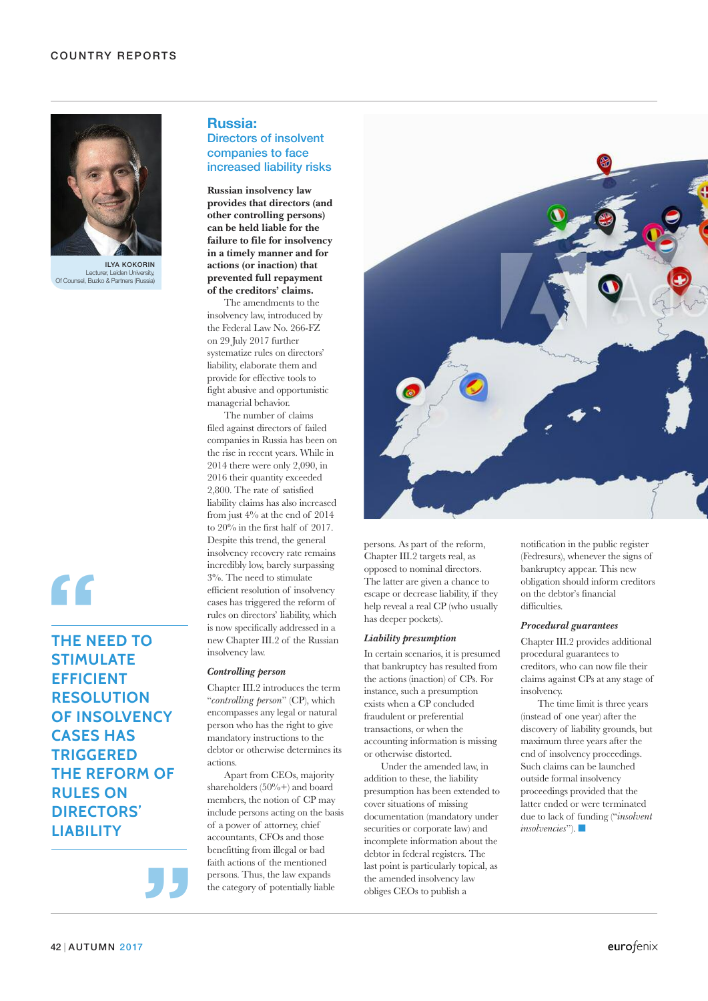

ILyA kokorIN Lecturer, Leiden University,<br>Of Counsel, Buzko & Partners (Russia)

# **"**

## **THE NEED TO STIMULATE EFFICIENT RESOLUTION OF INSOLVENCY CASES HAS TRIGGERED THE REFORM OF RULES ON DIRECTORS' LIABILITY**

**Russia:**

## Directors of insolvent companies to face increased liability risks

**Russian insolvency law provides that directors (and other controlling persons) can be held liable for the failure to file for insolvency in a timely manner and for actions (or inaction) that prevented full repayment of the creditors' claims.**

The amendments to the insolvency law, introduced by the Federal Law No. 266-FZ on 29 July 2017 further systematize rules on directors' liability, elaborate them and provide for effective tools to fight abusive and opportunistic managerial behavior.

The number of claims filed against directors of failed companies in Russia has been on the rise in recent years. While in 2014 there were only 2,090, in 2016 their quantity exceeded 2,800. The rate of satisfied liability claims has also increased from just 4% at the end of 2014 to 20% in the first half of 2017. Despite this trend, the general insolvency recovery rate remains incredibly low, barely surpassing 3%. The need to stimulate efficient resolution of insolvency cases has triggered the reform of rules on directors' liability, which is now specifically addressed in a new Chapter III.2 of the Russian insolvency law.

### *Controlling person*

Chapter III.2 introduces the term "*controlling person*" (CP), which encompasses any legal or natural person who has the right to give mandatory instructions to the debtor or otherwise determines its actions.

Apart from CEOs, majority shareholders (50%+) and board members, the notion of CP may include persons acting on the basis of a power of attorney, chief accountants, CFOs and those benefitting from illegal or bad faith actions of the mentioned persons. Thus, the law expands the category of potentially liable



persons. As part of the reform, Chapter III.2 targets real, as opposed to nominal directors. The latter are given a chance to escape or decrease liability, if they help reveal a real CP (who usually has deeper pockets).

#### *Liability presumption*

In certain scenarios, it is presumed that bankruptcy has resulted from the actions (inaction) of CPs. For instance, such a presumption exists when a CP concluded fraudulent or preferential transactions, or when the accounting information is missing or otherwise distorted.

Under the amended law, in addition to these, the liability presumption has been extended to cover situations of missing documentation (mandatory under securities or corporate law) and incomplete information about the debtor in federal registers. The last point is particularly topical, as the amended insolvency law obliges CEOs to publish a

notification in the public register (Fedresurs), whenever the signs of bankruptcy appear. This new obligation should inform creditors on the debtor's financial difficulties.

#### *Procedural guarantees*

Chapter III.2 provides additional procedural guarantees to creditors, who can now file their claims against CPs at any stage of insolvency.

The time limit is three years (instead of one year) after the discovery of liability grounds, but maximum three years after the end of insolvency proceedings. Such claims can be launched outside formal insolvency proceedings provided that the latter ended or were terminated due to lack of funding ("*insolvent insolvencies*"). ■